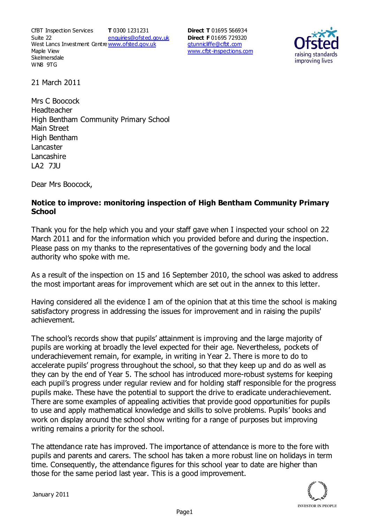CfBT Inspection Services Suite 22 West Lancs Investment Centre<u>www.ofsted.gov.uk</u> Maple View **Skelmersdale** WN8 9TG **T** 0300 1231231 enquiries@ofsted.gov.uk

**Direct T** 01695 566934 **Direct F** 01695 729320 gtunnicliffe@cfbt.com www.cfbt-inspections.com



21 March 2011

Mrs C Boocock Headteacher High Bentham Community Primary School Main Street High Bentham Lancaster Lancashire LA2 7JU

Dear Mrs Boocock,

## **Notice to improve: monitoring inspection of High Bentham Community Primary School**

Thank you for the help which you and your staff gave when I inspected your school on 22 March 2011 and for the information which you provided before and during the inspection. Please pass on my thanks to the representatives of the governing body and the local authority who spoke with me.

As a result of the inspection on 15 and 16 September 2010, the school was asked to address the most important areas for improvement which are set out in the annex to this letter.

Having considered all the evidence I am of the opinion that at this time the school is making satisfactory progress in addressing the issues for improvement and in raising the pupils' achievement.

The school's records show that pupils' attainment is improving and the large majority of pupils are working at broadly the level expected for their age. Nevertheless, pockets of underachievement remain, for example, in writing in Year 2. There is more to do to accelerate pupils' progress throughout the school, so that they keep up and do as well as they can by the end of Year 5. The school has introduced more-robust systems for keeping each pupil's progress under regular review and for holding staff responsible for the progress pupils make. These have the potential to support the drive to eradicate underachievement. There are some examples of appealing activities that provide good opportunities for pupils to use and apply mathematical knowledge and skills to solve problems. Pupils' books and work on display around the school show writing for a range of purposes but improving writing remains a priority for the school.

The attendance rate has improved. The importance of attendance is more to the fore with pupils and parents and carers. The school has taken a more robust line on holidays in term time. Consequently, the attendance figures for this school year to date are higher than those for the same period last year. This is a good improvement.

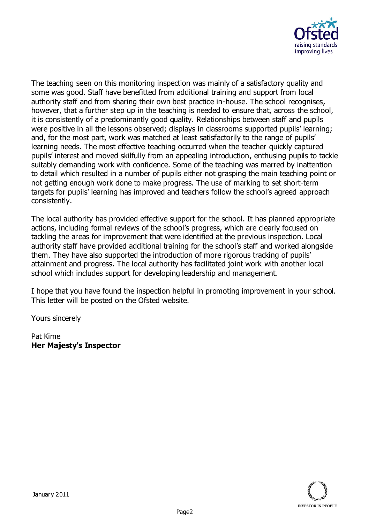

The teaching seen on this monitoring inspection was mainly of a satisfactory quality and some was good. Staff have benefitted from additional training and support from local authority staff and from sharing their own best practice in-house. The school recognises, however, that a further step up in the teaching is needed to ensure that, across the school, it is consistently of a predominantly good quality. Relationships between staff and pupils were positive in all the lessons observed; displays in classrooms supported pupils' learning; and, for the most part, work was matched at least satisfactorily to the range of pupils' learning needs. The most effective teaching occurred when the teacher quickly captured pupils' interest and moved skilfully from an appealing introduction, enthusing pupils to tackle suitably demanding work with confidence. Some of the teaching was marred by inattention to detail which resulted in a number of pupils either not grasping the main teaching point or not getting enough work done to make progress. The use of marking to set short-term targets for pupils' learning has improved and teachers follow the school's agreed approach consistently.

The local authority has provided effective support for the school. It has planned appropriate actions, including formal reviews of the school's progress, which are clearly focused on tackling the areas for improvement that were identified at the previous inspection. Local authority staff have provided additional training for the school's staff and worked alongside them. They have also supported the introduction of more rigorous tracking of pupils' attainment and progress. The local authority has facilitated joint work with another local school which includes support for developing leadership and management.

I hope that you have found the inspection helpful in promoting improvement in your school. This letter will be posted on the Ofsted website.

Yours sincerely

Pat Kime **Her Majesty's Inspector**